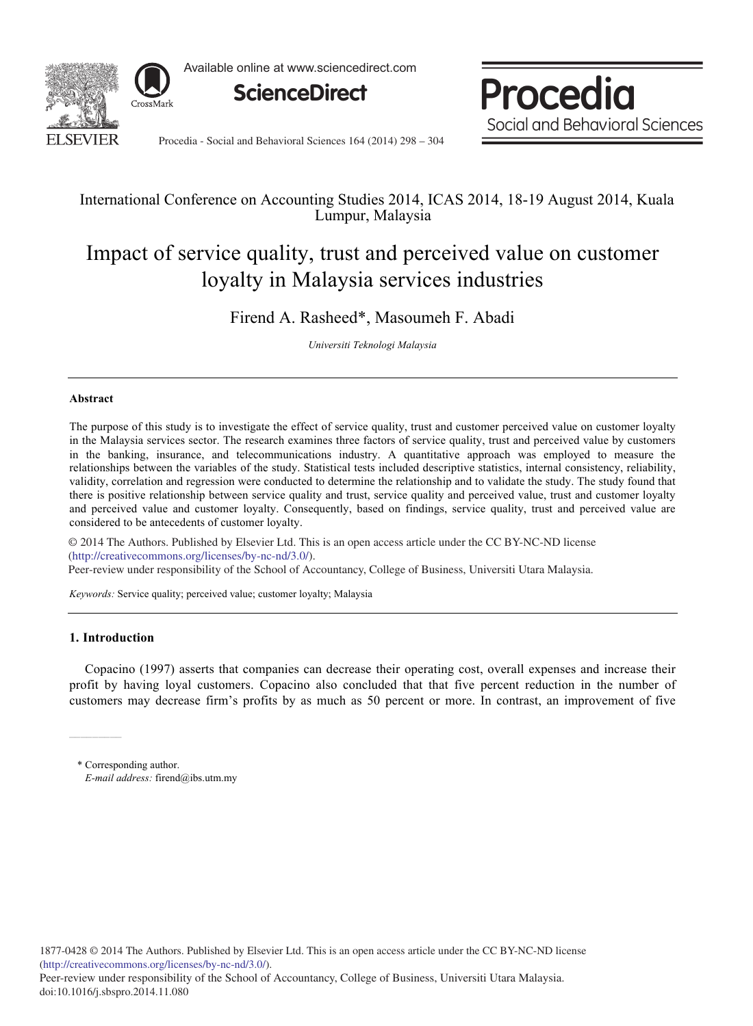

Available online at www.sciencedirect.com

**ScienceDirect**

Procedia Social and Behavioral Sciences

Procedia - Social and Behavioral Sciences 164 (2014) 298 - 304

# International Conference on Accounting Studies 2014, ICAS 2014, 18-19 August 2014, Kuala Lumpur, Malaysia

# Impact of service quality, trust and perceived value on customer loyalty in Malaysia services industries

Firend A. Rasheed\*, Masoumeh F. Abadi

*Universiti Teknologi Malaysia* 

## **Abstract**

The purpose of this study is to investigate the effect of service quality, trust and customer perceived value on customer loyalty in the Malaysia services sector. The research examines three factors of service quality, trust and perceived value by customers in the banking, insurance, and telecommunications industry. A quantitative approach was employed to measure the relationships between the variables of the study. Statistical tests included descriptive statistics, internal consistency, reliability, validity, correlation and regression were conducted to determine the relationship and to validate the study. The study found that there is positive relationship between service quality and trust, service quality and perceived value, trust and customer loyalty and perceived value and customer loyalty. Consequently, based on findings, service quality, trust and perceived value are considered to be antecedents of customer loyalty.

© 2014 The Authors. Published by Elsevier Ltd. (http://creativecommons.org/licenses/by-nc-nd/3.0/). Peer-review under responsibility of the School of Accountancy, College of Business, Universiti Utara Malaysia. Peer-review under responsibility of the School of Accountancy, College of Business, Universiti Utara Malaysia.© 2014 The Authors. Published by Elsevier Ltd. This is an open access article under the CC BY-NC-ND license

*Keywords:* Service quality; perceived value; customer loyalty; Malaysia

# **1. Introduction**

 $\overline{a}$  $\overline{a}$ L

Copacino (1997) asserts that companies can decrease their operating cost, overall expenses and increase their profit by having loyal customers. Copacino also concluded that that five percent reduction in the number of customers may decrease firm's profits by as much as 50 percent or more. In contrast, an improvement of five

\* Corresponding author. *E-mail address:* firend@ibs.utm.my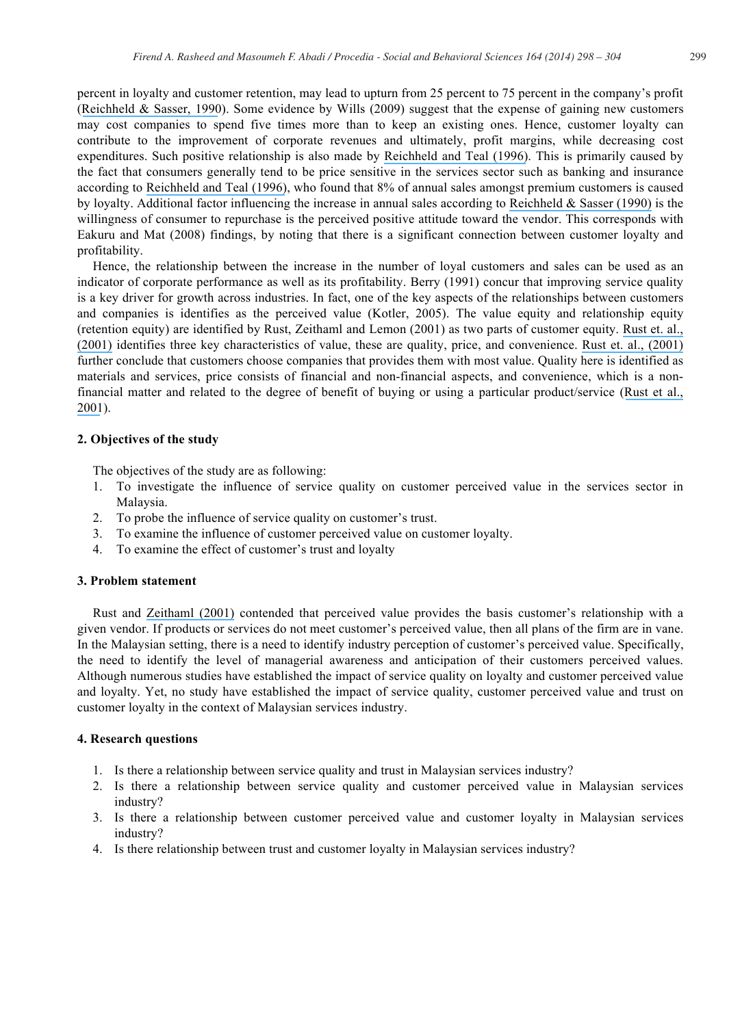percent in loyalty and customer retention, may lead to upturn from 25 percent to 75 percent in the company's profit ([Reichheld & Sasser, 1990](https://www.researchgate.net/publication/13184359_Zero_Defects_Quality_Comes_to_Services?el=1_x_8&enrichId=rgreq-910c8a2a2442a90b272dcd838ce410dd-XXX&enrichSource=Y292ZXJQYWdlOzI3MjM5MDQ3MztBUzozMjA2Nzg5NjY4MjQ5NjJAMTQ1MzQ2NzIzMTQzMw==)). Some evidence by Wills (2009) suggest that the expense of gaining new customers may cost companies to spend five times more than to keep an existing ones. Hence, customer loyalty can contribute to the improvement of corporate revenues and ultimately, profit margins, while decreasing cost expenditures. Such positive relationship is also made by [Reichheld and Teal \(1996\)](https://www.researchgate.net/publication/247926237_The_Loyalty_Effect_The_Hidden_Force_Behind_Growth_Profits_and_Lasting_Value?el=1_x_8&enrichId=rgreq-910c8a2a2442a90b272dcd838ce410dd-XXX&enrichSource=Y292ZXJQYWdlOzI3MjM5MDQ3MztBUzozMjA2Nzg5NjY4MjQ5NjJAMTQ1MzQ2NzIzMTQzMw==). This is primarily caused by the fact that consumers generally tend to be price sensitive in the services sector such as banking and insurance according to [Reichheld and Teal \(1996\)](https://www.researchgate.net/publication/247926237_The_Loyalty_Effect_The_Hidden_Force_Behind_Growth_Profits_and_Lasting_Value?el=1_x_8&enrichId=rgreq-910c8a2a2442a90b272dcd838ce410dd-XXX&enrichSource=Y292ZXJQYWdlOzI3MjM5MDQ3MztBUzozMjA2Nzg5NjY4MjQ5NjJAMTQ1MzQ2NzIzMTQzMw==), who found that 8% of annual sales amongst premium customers is caused by loyalty. Additional factor influencing the increase in annual sales according to [Reichheld & Sasser \(1990\)](https://www.researchgate.net/publication/13184359_Zero_Defects_Quality_Comes_to_Services?el=1_x_8&enrichId=rgreq-910c8a2a2442a90b272dcd838ce410dd-XXX&enrichSource=Y292ZXJQYWdlOzI3MjM5MDQ3MztBUzozMjA2Nzg5NjY4MjQ5NjJAMTQ1MzQ2NzIzMTQzMw==) is the willingness of consumer to repurchase is the perceived positive attitude toward the vendor. This corresponds with Eakuru and Mat (2008) findings, by noting that there is a significant connection between customer loyalty and profitability.

Hence, the relationship between the increase in the number of loyal customers and sales can be used as an indicator of corporate performance as well as its profitability. Berry (1991) concur that improving service quality is a key driver for growth across industries. In fact, one of the key aspects of the relationships between customers and companies is identifies as the perceived value (Kotler, 2005). The value equity and relationship equity (retention equity) are identified by Rust, Zeithaml and Lemon (2001) as two parts of customer equity. [Rust et. al.,](https://www.researchgate.net/publication/31857991_Driving_Customer_Equity_How_Customer_Lifetime_Value_Is_Reshaping_Corporate_Strategy_RT_Rust_VA_Zeithaml_KN_Lemon?el=1_x_8&enrichId=rgreq-910c8a2a2442a90b272dcd838ce410dd-XXX&enrichSource=Y292ZXJQYWdlOzI3MjM5MDQ3MztBUzozMjA2Nzg5NjY4MjQ5NjJAMTQ1MzQ2NzIzMTQzMw==) [\(2001\)](https://www.researchgate.net/publication/31857991_Driving_Customer_Equity_How_Customer_Lifetime_Value_Is_Reshaping_Corporate_Strategy_RT_Rust_VA_Zeithaml_KN_Lemon?el=1_x_8&enrichId=rgreq-910c8a2a2442a90b272dcd838ce410dd-XXX&enrichSource=Y292ZXJQYWdlOzI3MjM5MDQ3MztBUzozMjA2Nzg5NjY4MjQ5NjJAMTQ1MzQ2NzIzMTQzMw==) identifies three key characteristics of value, these are quality, price, and convenience. [Rust et. al., \(2001\)](https://www.researchgate.net/publication/31857991_Driving_Customer_Equity_How_Customer_Lifetime_Value_Is_Reshaping_Corporate_Strategy_RT_Rust_VA_Zeithaml_KN_Lemon?el=1_x_8&enrichId=rgreq-910c8a2a2442a90b272dcd838ce410dd-XXX&enrichSource=Y292ZXJQYWdlOzI3MjM5MDQ3MztBUzozMjA2Nzg5NjY4MjQ5NjJAMTQ1MzQ2NzIzMTQzMw==) further conclude that customers choose companies that provides them with most value. Quality here is identified as materials and services, price consists of financial and non-financial aspects, and convenience, which is a nonfinancial matter and related to the degree of benefit of buying or using a particular product/service ([Rust et al.,](https://www.researchgate.net/publication/31857991_Driving_Customer_Equity_How_Customer_Lifetime_Value_Is_Reshaping_Corporate_Strategy_RT_Rust_VA_Zeithaml_KN_Lemon?el=1_x_8&enrichId=rgreq-910c8a2a2442a90b272dcd838ce410dd-XXX&enrichSource=Y292ZXJQYWdlOzI3MjM5MDQ3MztBUzozMjA2Nzg5NjY4MjQ5NjJAMTQ1MzQ2NzIzMTQzMw==) [2001](https://www.researchgate.net/publication/31857991_Driving_Customer_Equity_How_Customer_Lifetime_Value_Is_Reshaping_Corporate_Strategy_RT_Rust_VA_Zeithaml_KN_Lemon?el=1_x_8&enrichId=rgreq-910c8a2a2442a90b272dcd838ce410dd-XXX&enrichSource=Y292ZXJQYWdlOzI3MjM5MDQ3MztBUzozMjA2Nzg5NjY4MjQ5NjJAMTQ1MzQ2NzIzMTQzMw==)).

#### **2. Objectives of the study**

The objectives of the study are as following:

- 1. To investigate the influence of service quality on customer perceived value in the services sector in Malaysia.
- 2. To probe the influence of service quality on customer's trust.
- 3. To examine the influence of customer perceived value on customer loyalty.
- 4. To examine the effect of customer's trust and loyalty

## **3. Problem statement**

Rust and [Zeithaml \(2001\)](https://www.researchgate.net/publication/31857991_Driving_Customer_Equity_How_Customer_Lifetime_Value_Is_Reshaping_Corporate_Strategy_RT_Rust_VA_Zeithaml_KN_Lemon?el=1_x_8&enrichId=rgreq-910c8a2a2442a90b272dcd838ce410dd-XXX&enrichSource=Y292ZXJQYWdlOzI3MjM5MDQ3MztBUzozMjA2Nzg5NjY4MjQ5NjJAMTQ1MzQ2NzIzMTQzMw==) contended that perceived value provides the basis customer's relationship with a given vendor. If products or services do not meet customer's perceived value, then all plans of the firm are in vane. In the Malaysian setting, there is a need to identify industry perception of customer's perceived value. Specifically, the need to identify the level of managerial awareness and anticipation of their customers perceived values. Although numerous studies have established the impact of service quality on loyalty and customer perceived value and loyalty. Yet, no study have established the impact of service quality, customer perceived value and trust on customer loyalty in the context of Malaysian services industry.

#### **4. Research questions**

- 1. Is there a relationship between service quality and trust in Malaysian services industry?
- 2. Is there a relationship between service quality and customer perceived value in Malaysian services industry?
- 3. Is there a relationship between customer perceived value and customer loyalty in Malaysian services industry?
- 4. Is there relationship between trust and customer loyalty in Malaysian services industry?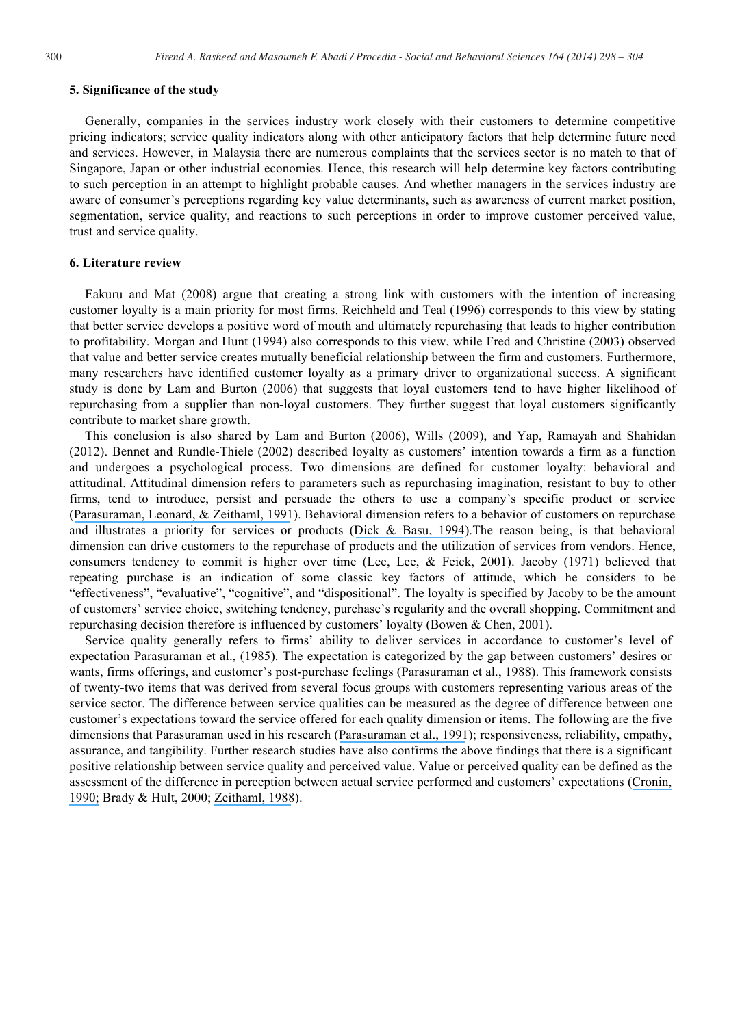#### **5. Significance of the study**

Generally, companies in the services industry work closely with their customers to determine competitive pricing indicators; service quality indicators along with other anticipatory factors that help determine future need and services. However, in Malaysia there are numerous complaints that the services sector is no match to that of Singapore, Japan or other industrial economies. Hence, this research will help determine key factors contributing to such perception in an attempt to highlight probable causes. And whether managers in the services industry are aware of consumer's perceptions regarding key value determinants, such as awareness of current market position, segmentation, service quality, and reactions to such perceptions in order to improve customer perceived value, trust and service quality.

#### **6. Literature review**

Eakuru and Mat (2008) argue that creating a strong link with customers with the intention of increasing customer loyalty is a main priority for most firms. Reichheld and Teal (1996) corresponds to this view by stating that better service develops a positive word of mouth and ultimately repurchasing that leads to higher contribution to profitability. Morgan and Hunt (1994) also corresponds to this view, while Fred and Christine (2003) observed that value and better service creates mutually beneficial relationship between the firm and customers. Furthermore, many researchers have identified customer loyalty as a primary driver to organizational success. A significant study is done by Lam and Burton (2006) that suggests that loyal customers tend to have higher likelihood of repurchasing from a supplier than non-loyal customers. They further suggest that loyal customers significantly contribute to market share growth.

This conclusion is also shared by Lam and Burton (2006), Wills (2009), and Yap, Ramayah and Shahidan (2012). Bennet and Rundle-Thiele (2002) described loyalty as customers' intention towards a firm as a function and undergoes a psychological process. Two dimensions are defined for customer loyalty: behavioral and attitudinal. Attitudinal dimension refers to parameters such as repurchasing imagination, resistant to buy to other firms, tend to introduce, persist and persuade the others to use a company's specific product or service ([Parasuraman, Leonard, & Zeithaml, 1991](https://www.researchgate.net/publication/229747903_Perceived_service_quality_as_a_customer-based_performance_measure_An_empirical_examination_of_organizational_barriers_using_an_extended_service_quality_model?el=1_x_8&enrichId=rgreq-910c8a2a2442a90b272dcd838ce410dd-XXX&enrichSource=Y292ZXJQYWdlOzI3MjM5MDQ3MztBUzozMjA2Nzg5NjY4MjQ5NjJAMTQ1MzQ2NzIzMTQzMw==)). Behavioral dimension refers to a behavior of customers on repurchase and illustrates a priority for services or products ([Dick & Basu, 1994](https://www.researchgate.net/publication/245826000_Customer_Loyalty_toward_an_Integrated_conceptual_Framework_J_Acad_Mark_Sci?el=1_x_8&enrichId=rgreq-910c8a2a2442a90b272dcd838ce410dd-XXX&enrichSource=Y292ZXJQYWdlOzI3MjM5MDQ3MztBUzozMjA2Nzg5NjY4MjQ5NjJAMTQ1MzQ2NzIzMTQzMw==)).The reason being, is that behavioral dimension can drive customers to the repurchase of products and the utilization of services from vendors. Hence, consumers tendency to commit is higher over time (Lee, Lee, & Feick, 2001). Jacoby (1971) believed that repeating purchase is an indication of some classic key factors of attitude, which he considers to be "effectiveness", "evaluative", "cognitive", and "dispositional". The loyalty is specified by Jacoby to be the amount of customers' service choice, switching tendency, purchase's regularity and the overall shopping. Commitment and repurchasing decision therefore is influenced by customers' loyalty (Bowen & Chen, 2001).

Service quality generally refers to firms' ability to deliver services in accordance to customer's level of expectation Parasuraman et al., (1985). The expectation is categorized by the gap between customers' desires or wants, firms offerings, and customer's post-purchase feelings (Parasuraman et al., 1988). This framework consists of twenty-two items that was derived from several focus groups with customers representing various areas of the service sector. The difference between service qualities can be measured as the degree of difference between one customer's expectations toward the service offered for each quality dimension or items. The following are the five dimensions that Parasuraman used in his research ([Parasuraman et al., 1991](https://www.researchgate.net/publication/229747903_Perceived_service_quality_as_a_customer-based_performance_measure_An_empirical_examination_of_organizational_barriers_using_an_extended_service_quality_model?el=1_x_8&enrichId=rgreq-910c8a2a2442a90b272dcd838ce410dd-XXX&enrichSource=Y292ZXJQYWdlOzI3MjM5MDQ3MztBUzozMjA2Nzg5NjY4MjQ5NjJAMTQ1MzQ2NzIzMTQzMw==)); responsiveness, reliability, empathy, assurance, and tangibility. Further research studies have also confirms the above findings that there is a significant positive relationship between service quality and perceived value. Value or perceived quality can be defined as the assessment of the difference in perception between actual service performed and customers' expectations ([Cronin,](https://www.researchgate.net/publication/274561018_A_Strategy_for_Tourism_and_Sustainable_Developments?el=1_x_8&enrichId=rgreq-910c8a2a2442a90b272dcd838ce410dd-XXX&enrichSource=Y292ZXJQYWdlOzI3MjM5MDQ3MztBUzozMjA2Nzg5NjY4MjQ5NjJAMTQ1MzQ2NzIzMTQzMw==)  [1990;](https://www.researchgate.net/publication/274561018_A_Strategy_for_Tourism_and_Sustainable_Developments?el=1_x_8&enrichId=rgreq-910c8a2a2442a90b272dcd838ce410dd-XXX&enrichSource=Y292ZXJQYWdlOzI3MjM5MDQ3MztBUzozMjA2Nzg5NjY4MjQ5NjJAMTQ1MzQ2NzIzMTQzMw==) Brady & Hult, 2000; [Zeithaml, 1988](https://www.researchgate.net/publication/282671247_Consumer_Perceptions_of_Price_Quality_and_Value_A_Means-End_Model_and_Synthesis_of_Evidence?el=1_x_8&enrichId=rgreq-910c8a2a2442a90b272dcd838ce410dd-XXX&enrichSource=Y292ZXJQYWdlOzI3MjM5MDQ3MztBUzozMjA2Nzg5NjY4MjQ5NjJAMTQ1MzQ2NzIzMTQzMw==)).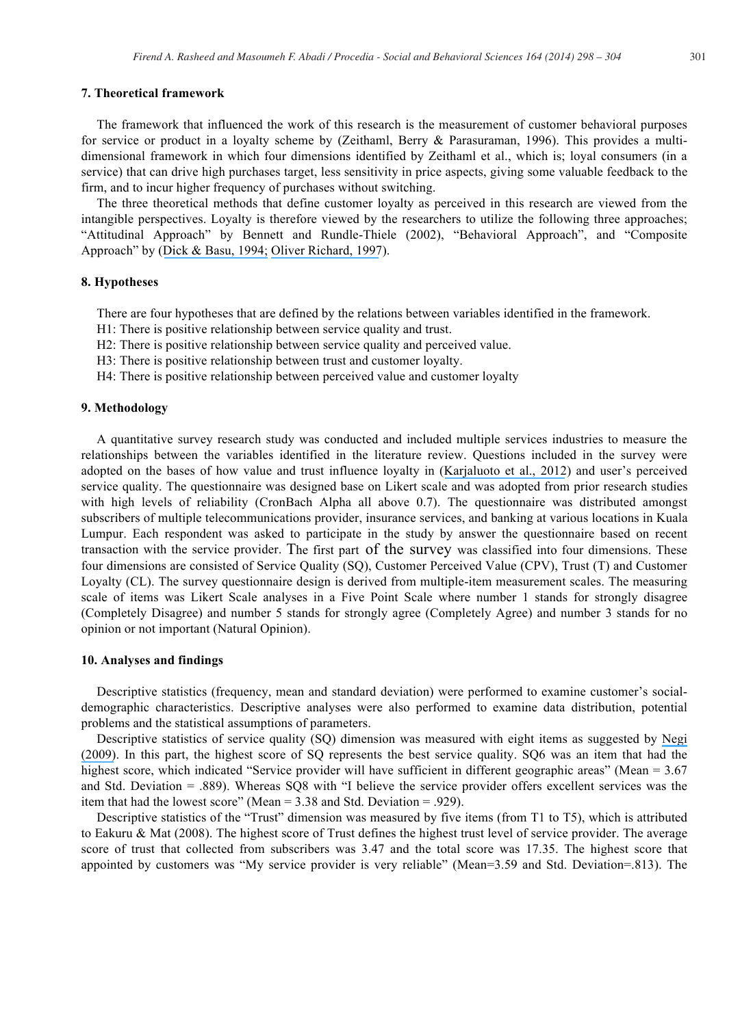#### **7. Theoretical framework**

The framework that influenced the work of this research is the measurement of customer behavioral purposes for service or product in a loyalty scheme by (Zeithaml, Berry & Parasuraman, 1996). This provides a multidimensional framework in which four dimensions identified by Zeithaml et al., which is; loyal consumers (in a service) that can drive high purchases target, less sensitivity in price aspects, giving some valuable feedback to the firm, and to incur higher frequency of purchases without switching.

The three theoretical methods that define customer loyalty as perceived in this research are viewed from the intangible perspectives. Loyalty is therefore viewed by the researchers to utilize the following three approaches; "Attitudinal Approach" by Bennett and Rundle-Thiele (2002), "Behavioral Approach", and "Composite Approach" by ([Dick & Basu, 1994;](https://www.researchgate.net/publication/245826000_Customer_Loyalty_toward_an_Integrated_conceptual_Framework_J_Acad_Mark_Sci?el=1_x_8&enrichId=rgreq-910c8a2a2442a90b272dcd838ce410dd-XXX&enrichSource=Y292ZXJQYWdlOzI3MjM5MDQ3MztBUzozMjA2Nzg5NjY4MjQ5NjJAMTQ1MzQ2NzIzMTQzMw==) [Oliver Richard, 1997](https://www.researchgate.net/publication/243771691_Satisfaction_A_Behavioral_Perspective_on_The_Consumer?el=1_x_8&enrichId=rgreq-910c8a2a2442a90b272dcd838ce410dd-XXX&enrichSource=Y292ZXJQYWdlOzI3MjM5MDQ3MztBUzozMjA2Nzg5NjY4MjQ5NjJAMTQ1MzQ2NzIzMTQzMw==)).

#### **8. Hypotheses**

There are four hypotheses that are defined by the relations between variables identified in the framework.

H1: There is positive relationship between service quality and trust.

H2: There is positive relationship between service quality and perceived value.

H3: There is positive relationship between trust and customer loyalty.

H4: There is positive relationship between perceived value and customer loyalty

# **9. Methodology**

A quantitative survey research study was conducted and included multiple services industries to measure the relationships between the variables identified in the literature review. Questions included in the survey were adopted on the bases of how value and trust influence loyalty in ([Karjaluoto et al., 2012](https://www.researchgate.net/publication/257162852_How_value_and_trust_influence_loyalty_in_wireless_telecommunications_industry_Telecommun_Policy?el=1_x_8&enrichId=rgreq-910c8a2a2442a90b272dcd838ce410dd-XXX&enrichSource=Y292ZXJQYWdlOzI3MjM5MDQ3MztBUzozMjA2Nzg5NjY4MjQ5NjJAMTQ1MzQ2NzIzMTQzMw==)) and user's perceived service quality. The questionnaire was designed base on Likert scale and was adopted from prior research studies with high levels of reliability (CronBach Alpha all above 0.7). The questionnaire was distributed amongst subscribers of multiple telecommunications provider, insurance services, and banking at various locations in Kuala Lumpur. Each respondent was asked to participate in the study by answer the questionnaire based on recent transaction with the service provider. The first part of the survey was classified into four dimensions. These four dimensions are consisted of Service Quality (SQ), Customer Perceived Value (CPV), Trust (T) and Customer Loyalty (CL). The survey questionnaire design is derived from multiple-item measurement scales. The measuring scale of items was Likert Scale analyses in a Five Point Scale where number 1 stands for strongly disagree (Completely Disagree) and number 5 stands for strongly agree (Completely Agree) and number 3 stands for no opinion or not important (Natural Opinion).

## **10. Analyses and findings**

Descriptive statistics (frequency, mean and standard deviation) were performed to examine customer's socialdemographic characteristics. Descriptive analyses were also performed to examine data distribution, potential problems and the statistical assumptions of parameters.

Descriptive statistics of service quality (SQ) dimension was measured with eight items as suggested by [Negi](https://www.researchgate.net/publication/238193427_User) [\(2009\)](https://www.researchgate.net/publication/238193427_User). In this part, the highest score of SQ represents the best service quality. SQ6 was an item that had the highest score, which indicated "Service provider will have sufficient in different geographic areas" (Mean = 3.67) and Std. Deviation = .889). Whereas SQ8 with "I believe the service provider offers excellent services was the item that had the lowest score" (Mean = 3.38 and Std. Deviation = .929).

Descriptive statistics of the "Trust" dimension was measured by five items (from T1 to T5), which is attributed to Eakuru & Mat (2008). The highest score of Trust defines the highest trust level of service provider. The average score of trust that collected from subscribers was 3.47 and the total score was 17.35. The highest score that appointed by customers was "My service provider is very reliable" (Mean=3.59 and Std. Deviation=.813). The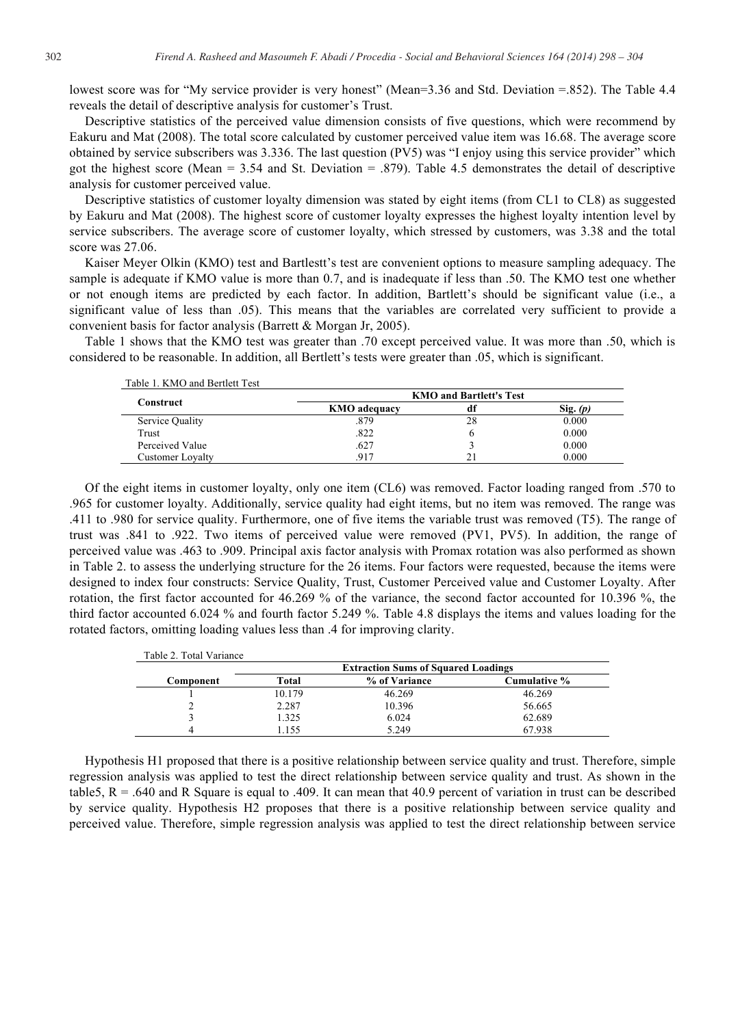lowest score was for "My service provider is very honest" (Mean=3.36 and Std. Deviation =.852). The Table 4.4 reveals the detail of descriptive analysis for customer's Trust.

Descriptive statistics of the perceived value dimension consists of five questions, which were recommend by Eakuru and Mat (2008). The total score calculated by customer perceived value item was 16.68. The average score obtained by service subscribers was 3.336. The last question (PV5) was "I enjoy using this service provider" which got the highest score (Mean = 3.54 and St. Deviation = .879). Table 4.5 demonstrates the detail of descriptive analysis for customer perceived value.

Descriptive statistics of customer loyalty dimension was stated by eight items (from CL1 to CL8) as suggested by Eakuru and Mat (2008). The highest score of customer loyalty expresses the highest loyalty intention level by service subscribers. The average score of customer loyalty, which stressed by customers, was 3.38 and the total score was 27.06.

Kaiser Meyer Olkin (KMO) test and Bartlestt's test are convenient options to measure sampling adequacy. The sample is adequate if KMO value is more than 0.7, and is inadequate if less than .50. The KMO test one whether or not enough items are predicted by each factor. In addition, Bartlett's should be significant value (i.e., a significant value of less than .05). This means that the variables are correlated very sufficient to provide a convenient basis for factor analysis (Barrett & Morgan Jr, 2005).

Table 1 shows that the KMO test was greater than .70 except perceived value. It was more than .50, which is considered to be reasonable. In addition, all Bertlett's tests were greater than .05, which is significant.

 $T_{\rm eff}$  1.  $T_{\rm eff}$   $\sim$  1. Bertlett  $T_{\rm eff}$ 

| Construct        | <b>KMO and Bartlett's Test</b> |    |            |  |
|------------------|--------------------------------|----|------------|--|
|                  | <b>KMO</b> adequacy            | df | $Sig.$ (p) |  |
| Service Quality  | .879                           | 28 | 0.000      |  |
| Trust            | .822                           |    | 0.000      |  |
| Perceived Value  | .627                           |    | 0.000      |  |
| Customer Lovalty | 917                            | 21 | 0.000      |  |

Of the eight items in customer loyalty, only one item (CL6) was removed. Factor loading ranged from .570 to .965 for customer loyalty. Additionally, service quality had eight items, but no item was removed. The range was .411 to .980 for service quality. Furthermore, one of five items the variable trust was removed (T5). The range of trust was .841 to .922. Two items of perceived value were removed (PV1, PV5). In addition, the range of perceived value was .463 to .909. Principal axis factor analysis with Promax rotation was also performed as shown in Table 2. to assess the underlying structure for the 26 items. Four factors were requested, because the items were designed to index four constructs: Service Quality, Trust, Customer Perceived value and Customer Loyalty. After rotation, the first factor accounted for 46.269 % of the variance, the second factor accounted for 10.396 %, the third factor accounted 6.024 % and fourth factor 5.249 %. Table 4.8 displays the items and values loading for the rotated factors, omitting loading values less than .4 for improving clarity.

| Component | <b>Extraction Sums of Squared Loadings</b> |               |              |  |
|-----------|--------------------------------------------|---------------|--------------|--|
|           | Total                                      | % of Variance | Cumulative % |  |
|           | 10.179                                     | 46.269        | 46.269       |  |
|           | 2.287                                      | 10.396        | 56.665       |  |
|           | 1.325                                      | 6.024         | 62.689       |  |
|           | .155                                       | 5.249         | 67.938       |  |

Hypothesis H1 proposed that there is a positive relationship between service quality and trust. Therefore, simple regression analysis was applied to test the direct relationship between service quality and trust. As shown in the table5,  $R = 0.640$  and R Square is equal to .409. It can mean that 40.9 percent of variation in trust can be described by service quality. Hypothesis H2 proposes that there is a positive relationship between service quality and perceived value. Therefore, simple regression analysis was applied to test the direct relationship between service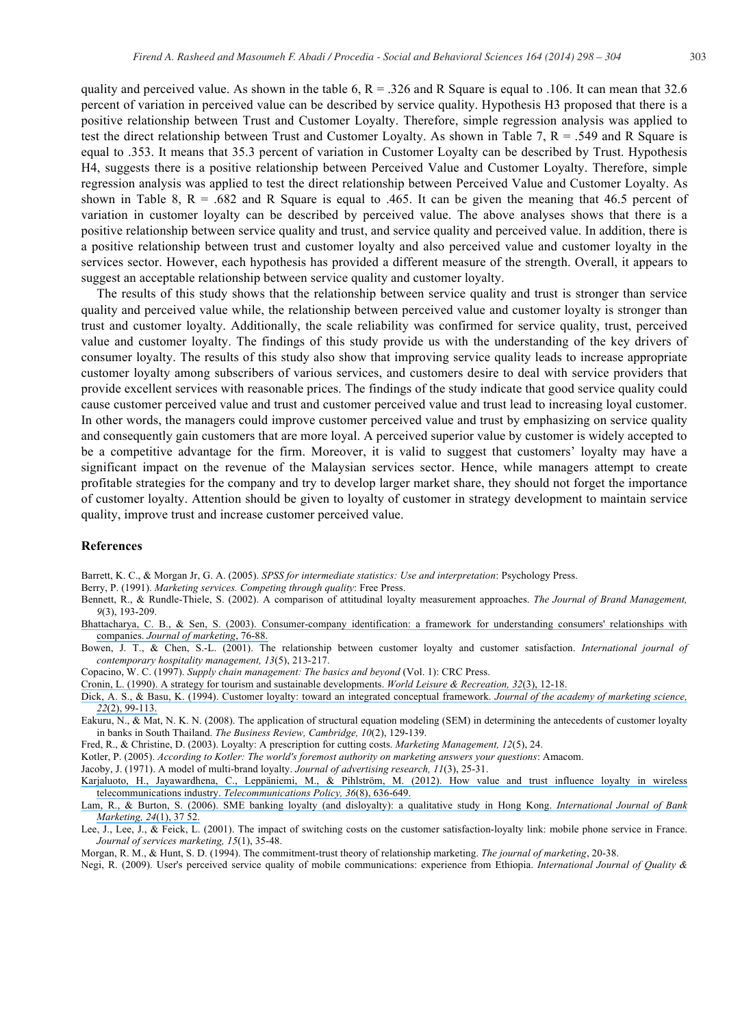quality and perceived value. As shown in the table 6,  $R = 0.326$  and R Square is equal to .106. It can mean that 32.6 percent of variation in perceived value can be described by service quality. Hypothesis H3 proposed that there is a positive relationship between Trust and Customer Loyalty. Therefore, simple regression analysis was applied to test the direct relationship between Trust and Customer Loyalty. As shown in Table 7, R = .549 and R Square is equal to .353. It means that 35.3 percent of variation in Customer Loyalty can be described by Trust. Hypothesis H4, suggests there is a positive relationship between Perceived Value and Customer Loyalty. Therefore, simple regression analysis was applied to test the direct relationship between Perceived Value and Customer Loyalty. As shown in Table 8,  $R = .682$  and R Square is equal to .465. It can be given the meaning that 46.5 percent of variation in customer loyalty can be described by perceived value. The above analyses shows that there is a positive relationship between service quality and trust, and service quality and perceived value. In addition, there is a positive relationship between trust and customer loyalty and also perceived value and customer loyalty in the services sector. However, each hypothesis has provided a different measure of the strength. Overall, it appears to suggest an acceptable relationship between service quality and customer loyalty.

The results of this study shows that the relationship between service quality and trust is stronger than service quality and perceived value while, the relationship between perceived value and customer loyalty is stronger than trust and customer loyalty. Additionally, the scale reliability was confirmed for service quality, trust, perceived value and customer loyalty. The findings of this study provide us with the understanding of the key drivers of consumer loyalty. The results of this study also show that improving service quality leads to increase appropriate customer loyalty among subscribers of various services, and customers desire to deal with service providers that provide excellent services with reasonable prices. The findings of the study indicate that good service quality could cause customer perceived value and trust and customer perceived value and trust lead to increasing loyal customer. In other words, the managers could improve customer perceived value and trust by emphasizing on service quality and consequently gain customers that are more loyal. A perceived superior value by customer is widely accepted to be a competitive advantage for the firm. Moreover, it is valid to suggest that customers' loyalty may have a significant impact on the revenue of the Malaysian services sector. Hence, while managers attempt to create profitable strategies for the company and try to develop larger market share, they should not forget the importance of customer loyalty. Attention should be given to loyalty of customer in strategy development to maintain service quality, improve trust and increase customer perceived value.

#### **References**

Barrett, K. C., & Morgan Jr, G. A. (2005). *SPSS for intermediate statistics: Use and interpretation*: Psychology Press.

Berry, P. (1991). *Marketing services. Competing through quality*: Free Press.

Bennett, R., & Rundle-Thiele, S. (2002). A comparison of attitudinal loyalty measurement approaches. *The Journal of Brand Management, 9*(3), 193-209.

[Bhattacharya, C. B., & Sen, S. \(2003\). Consumer-company identification: a framework for understanding consumers' relationships with](https://www.researchgate.net/publication/245781426_Consumer-Company_Identification_A_Framework_for_Understanding_Consumers) companies. *[Journal of marketing](https://www.researchgate.net/publication/245781426_Consumer-Company_Identification_A_Framework_for_Understanding_Consumers)*, 76-88.

Bowen, J. T., & Chen, S.-L. (2001). The relationship between customer loyalty and customer satisfaction. *International journal of contemporary hospitality management, 13*(5), 213-217.

Copacino, W. C. (1997). *Supply chain management: The basics and beyond* (Vol. 1): CRC Press.

[Cronin, L. \(1990\). A strategy for tourism and sustainable developments.](https://www.researchgate.net/publication/274561018_A_Strategy_for_Tourism_and_Sustainable_Developments?el=1_x_8&enrichId=rgreq-910c8a2a2442a90b272dcd838ce410dd-XXX&enrichSource=Y292ZXJQYWdlOzI3MjM5MDQ3MztBUzozMjA2Nzg5NjY4MjQ5NjJAMTQ1MzQ2NzIzMTQzMw==) *World Leisure & Recreation, 32*(3), 12-18.

[Dick, A. S., & Basu, K. \(1994\). Customer loyalty: toward an integrated conceptual framework.](https://www.researchgate.net/publication/245826000_Customer_Loyalty_toward_an_Integrated_conceptual_Framework_J_Acad_Mark_Sci?el=1_x_8&enrichId=rgreq-910c8a2a2442a90b272dcd838ce410dd-XXX&enrichSource=Y292ZXJQYWdlOzI3MjM5MDQ3MztBUzozMjA2Nzg5NjY4MjQ5NjJAMTQ1MzQ2NzIzMTQzMw==) *Journal of the academy of marketing science, 22*[\(2\), 99-113.](https://www.researchgate.net/publication/245826000_Customer_Loyalty_toward_an_Integrated_conceptual_Framework_J_Acad_Mark_Sci?el=1_x_8&enrichId=rgreq-910c8a2a2442a90b272dcd838ce410dd-XXX&enrichSource=Y292ZXJQYWdlOzI3MjM5MDQ3MztBUzozMjA2Nzg5NjY4MjQ5NjJAMTQ1MzQ2NzIzMTQzMw==) 

Eakuru, N., & Mat, N. K. N. (2008). The application of structural equation modeling (SEM) in determining the antecedents of customer loyalty in banks in South Thailand. *The Business Review, Cambridge, 10*(2), 129-139.

Fred, R., & Christine, D. (2003). Loyalty: A prescription for cutting costs. *Marketing Management, 12*(5), 24.

Kotler, P. (2005). *According to Kotler: The world's foremost authority on marketing answers your questions*: Amacom.

Jacoby, J. (1971). A model of multi-brand loyalty. *Journal of advertising research, 11*(3), 25-31.

[Karjaluoto, H., Jayawardhena, C., Leppäniemi, M., & Pihlström, M. \(2012\). How value and trust influence loyalty in wireless](https://www.researchgate.net/publication/257162852_How_value_and_trust_influence_loyalty_in_wireless_telecommunications_industry_Telecommun_Policy?el=1_x_8&enrichId=rgreq-910c8a2a2442a90b272dcd838ce410dd-XXX&enrichSource=Y292ZXJQYWdlOzI3MjM5MDQ3MztBUzozMjA2Nzg5NjY4MjQ5NjJAMTQ1MzQ2NzIzMTQzMw==) telecommunications industry. *[Telecommunications Policy, 36](https://www.researchgate.net/publication/257162852_How_value_and_trust_influence_loyalty_in_wireless_telecommunications_industry_Telecommun_Policy?el=1_x_8&enrichId=rgreq-910c8a2a2442a90b272dcd838ce410dd-XXX&enrichSource=Y292ZXJQYWdlOzI3MjM5MDQ3MztBUzozMjA2Nzg5NjY4MjQ5NjJAMTQ1MzQ2NzIzMTQzMw==)*(8), 636-649.

[Lam, R., & Burton, S. \(2006\). SME banking loyalty \(and disloyalty\): a qualitative study in Hong Kong.](https://www.researchgate.net/publication/240257903_SME_banking_loyalty_and_disloyalty_A_qualitative_study_in_Hong_Kong?el=1_x_8&enrichId=rgreq-910c8a2a2442a90b272dcd838ce410dd-XXX&enrichSource=Y292ZXJQYWdlOzI3MjM5MDQ3MztBUzozMjA2Nzg5NjY4MjQ5NjJAMTQ1MzQ2NzIzMTQzMw==) *International Journal of Bank [Marketing, 24](https://www.researchgate.net/publication/240257903_SME_banking_loyalty_and_disloyalty_A_qualitative_study_in_Hong_Kong?el=1_x_8&enrichId=rgreq-910c8a2a2442a90b272dcd838ce410dd-XXX&enrichSource=Y292ZXJQYWdlOzI3MjM5MDQ3MztBUzozMjA2Nzg5NjY4MjQ5NjJAMTQ1MzQ2NzIzMTQzMw==)*(1), 37 52.

Lee, J., Lee, J., & Feick, L. (2001). The impact of switching costs on the customer satisfaction-loyalty link: mobile phone service in France. *Journal of services marketing, 15*(1), 35-48.

Morgan, R. M., & Hunt, S. D. (1994). The commitment-trust theory of relationship marketing. *The journal of marketing*, 20-38.

Negi, R. (2009). User's perceived service quality of mobile communications: experience from Ethiopia. *International Journal of Quality &*